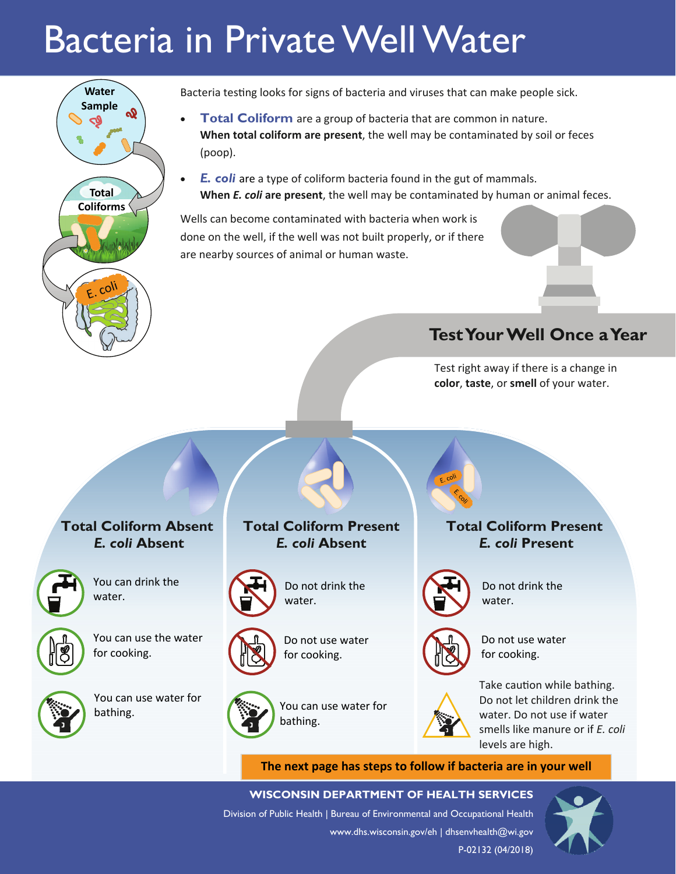# Bacteria in Private Well Water



Bacteria testing looks for signs of bacteria and viruses that can make people sick.

- **Total Coliform** are a group of bacteria that are common in nature. **When total coliform are present**, the well may be contaminated by soil or feces (poop).
- *E. coli* are a type of coliform bacteria found in the gut of mammals. **When** *E. coli* **are present**, the well may be contaminated by human or animal feces.

Wells can become contaminated with bacteria when work is done on the well, if the well was not built properly, or if there are nearby sources of animal or human waste.

# **Test Your Well Once a Year**

Test right away if there is a change in **color**, **taste**, or **smell** of your water.

# **Total Coliform Absent**  *E. coli* **Absent**



You can drink the water.



You can use the water for cooking.



You can use water for bathing.

# **Total Coliform Present**  *E. coli* **Absent**



Do not drink the water.



Do not use water for cooking.

You can use water for bathing.



Do not drink the water.

**Total Coliform Present**  *E. coli* **Present**



Do not use water for cooking.



Take caution while bathing. Do not let children drink the water. Do not use if water smells like manure or if *E. coli* levels are high.

**The next page has steps to follow if bacteria are in your well**

**WISCONSIN DEPARTMENT OF HEALTH SERVICES**  Division of Public Health | Bureau of Environmental and Occupational Health www.dhs.wisconsin.gov/eh | dhsenvhealth@wi.gov P-02132 (04/2018)